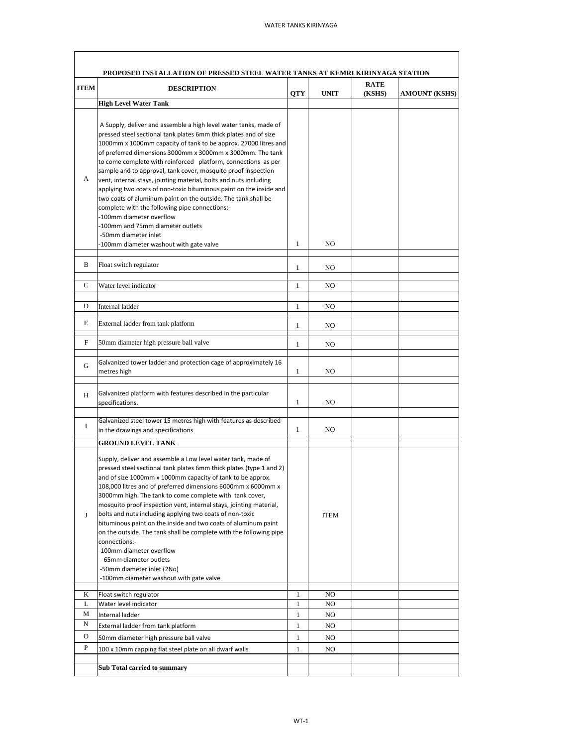|             | PROPOSED INSTALLATION OF PRESSED STEEL WATER TANKS AT KEMRI KIRINYAGA STATION                                                                                                                                                                                                                                                                                                                                                                                                                                                                                                                                                                                                                                                                                                                            |              |                | <b>RATE</b> |                      |
|-------------|----------------------------------------------------------------------------------------------------------------------------------------------------------------------------------------------------------------------------------------------------------------------------------------------------------------------------------------------------------------------------------------------------------------------------------------------------------------------------------------------------------------------------------------------------------------------------------------------------------------------------------------------------------------------------------------------------------------------------------------------------------------------------------------------------------|--------------|----------------|-------------|----------------------|
| <b>ITEM</b> | <b>DESCRIPTION</b>                                                                                                                                                                                                                                                                                                                                                                                                                                                                                                                                                                                                                                                                                                                                                                                       | <b>QTY</b>   | <b>UNIT</b>    | (KSHS)      | <b>AMOUNT (KSHS)</b> |
|             | <b>High Level Water Tank</b>                                                                                                                                                                                                                                                                                                                                                                                                                                                                                                                                                                                                                                                                                                                                                                             |              |                |             |                      |
| А           | A Supply, deliver and assemble a high level water tanks, made of<br>pressed steel sectional tank plates 6mm thick plates and of size<br>1000mm x 1000mm capacity of tank to be approx. 27000 litres and<br>of preferred dimensions 3000mm x 3000mm x 3000mm. The tank<br>to come complete with reinforced platform, connections as per<br>sample and to approval, tank cover, mosquito proof inspection<br>vent, internal stays, jointing material, bolts and nuts including<br>applying two coats of non-toxic bituminous paint on the inside and<br>two coats of aluminum paint on the outside. The tank shall be<br>complete with the following pipe connections:-<br>-100mm diameter overflow<br>-100mm and 75mm diameter outlets<br>-50mm diameter inlet<br>-100mm diameter washout with gate valve | $\mathbf{1}$ | NO             |             |                      |
| В           | Float switch regulator                                                                                                                                                                                                                                                                                                                                                                                                                                                                                                                                                                                                                                                                                                                                                                                   | 1            | NO             |             |                      |
| C           |                                                                                                                                                                                                                                                                                                                                                                                                                                                                                                                                                                                                                                                                                                                                                                                                          |              |                |             |                      |
|             | Water level indicator                                                                                                                                                                                                                                                                                                                                                                                                                                                                                                                                                                                                                                                                                                                                                                                    | $\mathbf{1}$ | N <sub>O</sub> |             |                      |
| D           | Internal ladder                                                                                                                                                                                                                                                                                                                                                                                                                                                                                                                                                                                                                                                                                                                                                                                          | $\mathbf{1}$ | NO             |             |                      |
| Е           | External ladder from tank platform                                                                                                                                                                                                                                                                                                                                                                                                                                                                                                                                                                                                                                                                                                                                                                       | $\mathbf{1}$ | NO.            |             |                      |
| F           | 50mm diameter high pressure ball valve                                                                                                                                                                                                                                                                                                                                                                                                                                                                                                                                                                                                                                                                                                                                                                   | $\mathbf{1}$ | NO             |             |                      |
| G           | Galvanized tower ladder and protection cage of approximately 16<br>metres high                                                                                                                                                                                                                                                                                                                                                                                                                                                                                                                                                                                                                                                                                                                           | $\mathbf{1}$ | NO             |             |                      |
| H           | Galvanized platform with features described in the particular<br>specifications.                                                                                                                                                                                                                                                                                                                                                                                                                                                                                                                                                                                                                                                                                                                         | 1            | NO.            |             |                      |
| Ι           | Galvanized steel tower 15 metres high with features as described<br>in the drawings and specifications                                                                                                                                                                                                                                                                                                                                                                                                                                                                                                                                                                                                                                                                                                   | $\mathbf{1}$ | NO             |             |                      |
|             | <b>GROUND LEVEL TANK</b>                                                                                                                                                                                                                                                                                                                                                                                                                                                                                                                                                                                                                                                                                                                                                                                 |              |                |             |                      |
| J           | Supply, deliver and assemble a Low level water tank, made of<br>pressed steel sectional tank plates 6mm thick plates (type 1 and 2)<br>and of size 1000mm x 1000mm capacity of tank to be approx.<br>108,000 litres and of preferred dimensions 6000mm x 6000mm x<br>3000mm high. The tank to come complete with tank cover,<br>mosquito proof inspection vent, internal stays, jointing material,<br>bolts and nuts including applying two coats of non-toxic<br>bituminous paint on the inside and two coats of aluminum paint<br>on the outside. The tank shall be complete with the following pipe<br>connections:-<br>-100mm diameter overflow<br>- 65mm diameter outlets<br>-50mm diameter inlet (2No)<br>-100mm diameter washout with gate valve                                                  |              | <b>ITEM</b>    |             |                      |
| K           | Float switch regulator                                                                                                                                                                                                                                                                                                                                                                                                                                                                                                                                                                                                                                                                                                                                                                                   | 1            | NO             |             |                      |
| L<br>М      | Water level indicator<br>Internal ladder                                                                                                                                                                                                                                                                                                                                                                                                                                                                                                                                                                                                                                                                                                                                                                 | 1<br>1       | NO<br>NO       |             |                      |
| N           | External ladder from tank platform                                                                                                                                                                                                                                                                                                                                                                                                                                                                                                                                                                                                                                                                                                                                                                       | 1            | NO             |             |                      |
| $\mathbf O$ | 50mm diameter high pressure ball valve                                                                                                                                                                                                                                                                                                                                                                                                                                                                                                                                                                                                                                                                                                                                                                   | $\mathbf{1}$ | NO             |             |                      |
| P           | 100 x 10mm capping flat steel plate on all dwarf walls                                                                                                                                                                                                                                                                                                                                                                                                                                                                                                                                                                                                                                                                                                                                                   | $\mathbf{1}$ | NO             |             |                      |
|             | Sub Total carried to summary                                                                                                                                                                                                                                                                                                                                                                                                                                                                                                                                                                                                                                                                                                                                                                             |              |                |             |                      |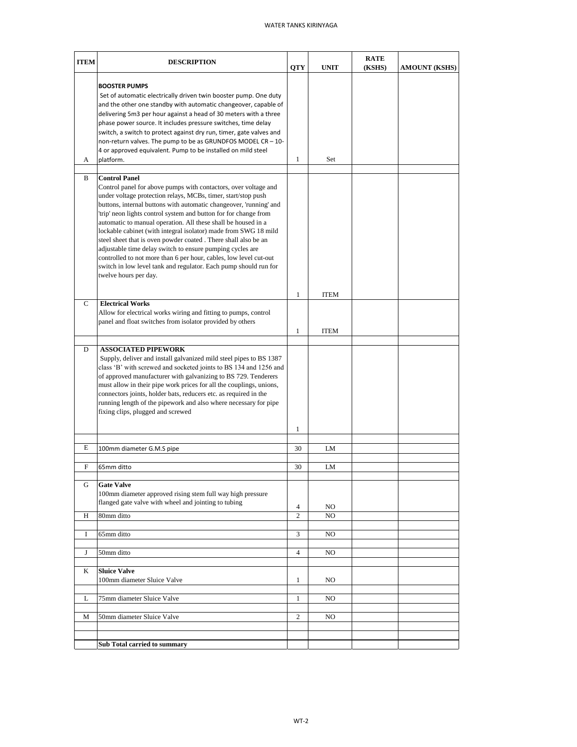## WATER TANKS KIRINYAGA

| <b>ITEM</b> | <b>DESCRIPTION</b>                                                                                                                                                                                                                                                                                                                                                                                                                                                                                                                                                                                                                                                                                                                      | <b>QTY</b>          | <b>UNIT</b> | <b>RATE</b><br>(KSHS) | <b>AMOUNT (KSHS)</b> |
|-------------|-----------------------------------------------------------------------------------------------------------------------------------------------------------------------------------------------------------------------------------------------------------------------------------------------------------------------------------------------------------------------------------------------------------------------------------------------------------------------------------------------------------------------------------------------------------------------------------------------------------------------------------------------------------------------------------------------------------------------------------------|---------------------|-------------|-----------------------|----------------------|
| A           | <b>BOOSTER PUMPS</b><br>Set of automatic electrically driven twin booster pump. One duty<br>and the other one standby with automatic changeover, capable of<br>delivering 5m3 per hour against a head of 30 meters with a three<br>phase power source. It includes pressure switches, time delay<br>switch, a switch to protect against dry run, timer, gate valves and<br>non-return valves. The pump to be as GRUNDFOS MODEL CR - 10-<br>4 or approved equivalent. Pump to be installed on mild steel<br>platform.                                                                                                                                                                                                                    | 1                   | Set         |                       |                      |
| B           | <b>Control Panel</b><br>Control panel for above pumps with contactors, over voltage and<br>under voltage protection relays, MCBs, timer, start/stop push<br>buttons, internal buttons with automatic changeover, 'running' and<br>'trip' neon lights control system and button for for change from<br>automatic to manual operation. All these shall be housed in a<br>lockable cabinet (with integral isolator) made from SWG 18 mild<br>steel sheet that is oven powder coated. There shall also be an<br>adjustable time delay switch to ensure pumping cycles are<br>controlled to not more than 6 per hour, cables, low level cut-out<br>switch in low level tank and regulator. Each pump should run for<br>twelve hours per day. |                     |             |                       |                      |
|             |                                                                                                                                                                                                                                                                                                                                                                                                                                                                                                                                                                                                                                                                                                                                         | 1                   | <b>ITEM</b> |                       |                      |
| C           | <b>Electrical Works</b><br>Allow for electrical works wiring and fitting to pumps, control<br>panel and float switches from isolator provided by others                                                                                                                                                                                                                                                                                                                                                                                                                                                                                                                                                                                 | $\mathbf{1}$        | <b>ITEM</b> |                       |                      |
| D           | <b>ASSOCIATED PIPEWORK</b><br>Supply, deliver and install galvanized mild steel pipes to BS 1387<br>class 'B' with screwed and socketed joints to BS 134 and 1256 and<br>of approved manufacturer with galvanizing to BS 729. Tenderers<br>must allow in their pipe work prices for all the couplings, unions,<br>connectors joints, holder bats, reducers etc. as required in the<br>running length of the pipework and also where necessary for pipe<br>fixing clips, plugged and screwed                                                                                                                                                                                                                                             | 1                   |             |                       |                      |
| Е           |                                                                                                                                                                                                                                                                                                                                                                                                                                                                                                                                                                                                                                                                                                                                         |                     |             |                       |                      |
|             | 100mm diameter G.M.S pipe                                                                                                                                                                                                                                                                                                                                                                                                                                                                                                                                                                                                                                                                                                               | 30                  | LM          |                       |                      |
| F           | 65mm ditto                                                                                                                                                                                                                                                                                                                                                                                                                                                                                                                                                                                                                                                                                                                              | 30                  | LM          |                       |                      |
| G<br>H      | <b>Gate Valve</b><br>100mm diameter approved rising stem full way high pressure<br>flanged gate valve with wheel and jointing to tubing<br>80mm ditto                                                                                                                                                                                                                                                                                                                                                                                                                                                                                                                                                                                   | $\overline{4}$<br>2 | NO<br>NO    |                       |                      |
|             |                                                                                                                                                                                                                                                                                                                                                                                                                                                                                                                                                                                                                                                                                                                                         |                     |             |                       |                      |
| I           | 65mm ditto                                                                                                                                                                                                                                                                                                                                                                                                                                                                                                                                                                                                                                                                                                                              | 3                   | NO          |                       |                      |
| J           | 50mm ditto                                                                                                                                                                                                                                                                                                                                                                                                                                                                                                                                                                                                                                                                                                                              | $\overline{4}$      | NO          |                       |                      |
| K           | <b>Sluice Valve</b><br>100mm diameter Sluice Valve                                                                                                                                                                                                                                                                                                                                                                                                                                                                                                                                                                                                                                                                                      | $\mathbf{1}$        | NO.         |                       |                      |
| L           | 75mm diameter Sluice Valve                                                                                                                                                                                                                                                                                                                                                                                                                                                                                                                                                                                                                                                                                                              | 1                   | NO          |                       |                      |
| М           | 50mm diameter Sluice Valve                                                                                                                                                                                                                                                                                                                                                                                                                                                                                                                                                                                                                                                                                                              | $\overline{c}$      | NO          |                       |                      |
|             | Sub Total carried to summary                                                                                                                                                                                                                                                                                                                                                                                                                                                                                                                                                                                                                                                                                                            |                     |             |                       |                      |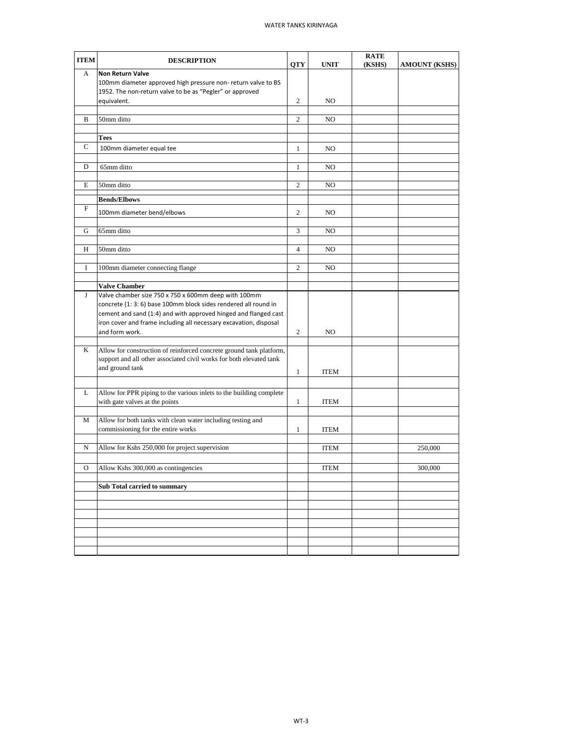| <b>ITEM</b>  | <b>DESCRIPTION</b>                                                                                                                   | <b>QTY</b>     | <b>UNIT</b> | <b>RATE</b><br>(KSHS) | <b>AMOUNT (KSHS)</b> |
|--------------|--------------------------------------------------------------------------------------------------------------------------------------|----------------|-------------|-----------------------|----------------------|
| A            | <b>Non Return Valve</b>                                                                                                              |                |             |                       |                      |
|              | 100mm diameter approved high pressure non-return valve to BS                                                                         |                |             |                       |                      |
|              | 1952. The non-return valve to be as "Pegler" or approved                                                                             |                |             |                       |                      |
|              | equivalent.                                                                                                                          | $\overline{c}$ | NO.         |                       |                      |
| B            | 50mm ditto                                                                                                                           | 2              | NO          |                       |                      |
|              |                                                                                                                                      |                |             |                       |                      |
|              | Tees                                                                                                                                 |                |             |                       |                      |
| $\mathsf{C}$ | 100mm diameter equal tee                                                                                                             | $\mathbf{1}$   | NO          |                       |                      |
| D            | 65mm ditto                                                                                                                           | $\mathbf{1}$   | NO          |                       |                      |
|              |                                                                                                                                      |                |             |                       |                      |
| Е            | 50mm ditto                                                                                                                           | 2              | NO          |                       |                      |
|              | <b>Bends/Elbows</b>                                                                                                                  |                |             |                       |                      |
| F            | 100mm diameter bend/elbows                                                                                                           | 2              | NO          |                       |                      |
|              |                                                                                                                                      |                |             |                       |                      |
| G            | 65mm ditto                                                                                                                           | 3              | NO          |                       |                      |
|              |                                                                                                                                      |                |             |                       |                      |
| H            | 50mm ditto                                                                                                                           | $\overline{4}$ | NO          |                       |                      |
| Ι            | 100mm diameter connecting flange                                                                                                     | 2              | NO          |                       |                      |
|              |                                                                                                                                      |                |             |                       |                      |
|              | <b>Valve Chamber</b>                                                                                                                 |                |             |                       |                      |
| J            | Valve chamber size 750 x 750 x 600mm deep with 100mm                                                                                 |                |             |                       |                      |
|              | concrete (1: 3: 6) base 100mm block sides rendered all round in                                                                      |                |             |                       |                      |
|              | cement and sand (1:4) and with approved hinged and flanged cast<br>iron cover and frame including all necessary excavation, disposal |                |             |                       |                      |
|              | and form work.                                                                                                                       | $\overline{c}$ | NO          |                       |                      |
|              |                                                                                                                                      |                |             |                       |                      |
| K            | Allow for construction of reinforced concrete ground tank platform,                                                                  |                |             |                       |                      |
|              | support and all other associated civil works for both elevated tank                                                                  |                |             |                       |                      |
|              | and ground tank                                                                                                                      | $\mathbf{1}$   | <b>ITEM</b> |                       |                      |
|              |                                                                                                                                      |                |             |                       |                      |
| L            | Allow for PPR piping to the various inlets to the building complete                                                                  |                |             |                       |                      |
|              | with gate valves at the points                                                                                                       | $\mathbf{1}$   | <b>ITEM</b> |                       |                      |
| М            | Allow for both tanks with clean water including testing and                                                                          |                |             |                       |                      |
|              | commissioning for the entire works                                                                                                   | $\mathbf{1}$   | <b>ITEM</b> |                       |                      |
|              |                                                                                                                                      |                |             |                       |                      |
| N            | Allow for Kshs 250,000 for project supervision                                                                                       |                | <b>ITEM</b> |                       | 250,000              |
| O            | Allow Kshs 300,000 as contingencies                                                                                                  |                |             |                       |                      |
|              |                                                                                                                                      |                | <b>ITEM</b> |                       | 300,000              |
|              | Sub Total carried to summary                                                                                                         |                |             |                       |                      |
|              |                                                                                                                                      |                |             |                       |                      |
|              |                                                                                                                                      |                |             |                       |                      |
|              |                                                                                                                                      |                |             |                       |                      |
|              |                                                                                                                                      |                |             |                       |                      |
|              |                                                                                                                                      |                |             |                       |                      |
|              |                                                                                                                                      |                |             |                       |                      |